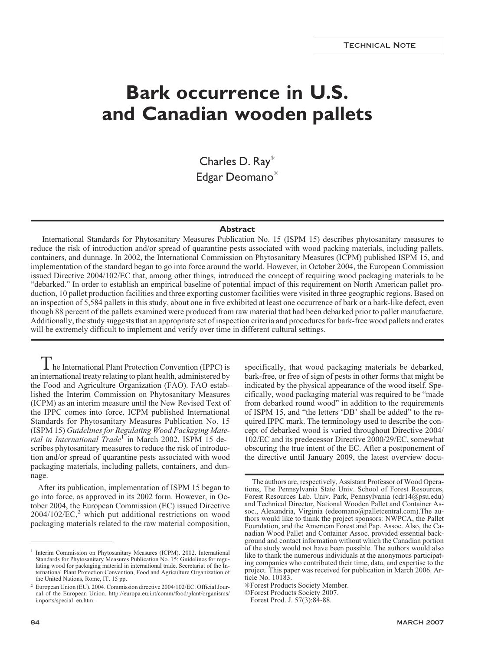# **Bark occurrence in U.S. and Canadian wooden pallets**

Charles D. Ray<sup>\*</sup> Edgar Deomano<sup>\*</sup>

# **Abstract**

International Standards for Phytosanitary Measures Publication No. 15 (ISPM 15) describes phytosanitary measures to reduce the risk of introduction and/or spread of quarantine pests associated with wood packing materials, including pallets, containers, and dunnage. In 2002, the International Commission on Phytosanitary Measures (ICPM) published ISPM 15, and implementation of the standard began to go into force around the world. However, in October 2004, the European Commission issued Directive 2004/102/EC that, among other things, introduced the concept of requiring wood packaging materials to be "debarked." In order to establish an empirical baseline of potential impact of this requirement on North American pallet production, 10 pallet production facilities and three exporting customer facilities were visited in three geographic regions. Based on an inspection of 5,584 pallets in this study, about one in five exhibited at least one occurrence of bark or a bark-like defect, even though 88 percent of the pallets examined were produced from raw material that had been debarked prior to pallet manufacture. Additionally, the study suggests that an appropriate set of inspection criteria and procedures for bark-free wood pallets and crates will be extremely difficult to implement and verify over time in different cultural settings.

The International Plant Protection Convention (IPPC) is an international treaty relating to plant health, administered by the Food and Agriculture Organization (FAO). FAO established the Interim Commission on Phytosanitary Measures (ICPM) as an interim measure until the New Revised Text of the IPPC comes into force. ICPM published International Standards for Phytosanitary Measures Publication No. 15 (ISPM 15) *Guidelines for Regulating Wood Packaging Material in International Trade*<sup>1</sup> in March 2002. ISPM 15 describes phytosanitary measures to reduce the risk of introduction and/or spread of quarantine pests associated with wood packaging materials, including pallets, containers, and dunnage.

After its publication, implementation of ISPM 15 began to go into force, as approved in its 2002 form. However, in October 2004, the European Commission (EC) issued Directive  $2004/102/EC$ ,<sup>2</sup> which put additional restrictions on wood packaging materials related to the raw material composition,

specifically, that wood packaging materials be debarked, bark-free, or free of sign of pests in other forms that might be indicated by the physical appearance of the wood itself. Specifically, wood packaging material was required to be "made from debarked round wood" in addition to the requirements of ISPM 15, and "the letters 'DB' shall be added" to the required IPPC mark. The terminology used to describe the concept of debarked wood is varied throughout Directive 2004/ 102/EC and its predecessor Directive 2000/29/EC, somewhat obscuring the true intent of the EC. After a postponement of the directive until January 2009, the latest overview docu-

<sup>&</sup>lt;sup>1</sup> Interim Commission on Phytosanitary Measures (ICPM). 2002. International Standards for Phytosanitary Measures Publication No. 15: Guidelines for regulating wood for packaging material in international trade. Secretariat of the International Plant Protection Convention, Food and Agriculture Organization of the United Nations, Rome, IT. 15 pp.

<sup>2</sup> European Union (EU). 2004. Commission directive 2004/102/EC. Official Journal of the European Union. http://europa.eu.int/comm/food/plant/organisms/ imports/special\_en.htm.

The authors are, respectively, Assistant Professor of Wood Operations, The Pennsylvania State Univ. School of Forest Resources, Forest Resources Lab. Univ. Park, Pennsylvania (cdr14@psu.edu) and Technical Director, National Wooden Pallet and Container Assoc., Alexandria, Virginia (edeomano@palletcentral.com).The authors would like to thank the project sponsors: NWPCA, the Pallet Foundation, and the American Forest and Pap. Assoc. Also, the Canadian Wood Pallet and Container Assoc. provided essential background and contact information without which the Canadian portion of the study would not have been possible. The authors would also like to thank the numerous individuals at the anonymous participating companies who contributed their time, data, and expertise to the project. This paper was received for publication in March 2006. Article No. 10183.

<sup>✳</sup>Forest Products Society Member.

<sup>©</sup>Forest Products Society 2007.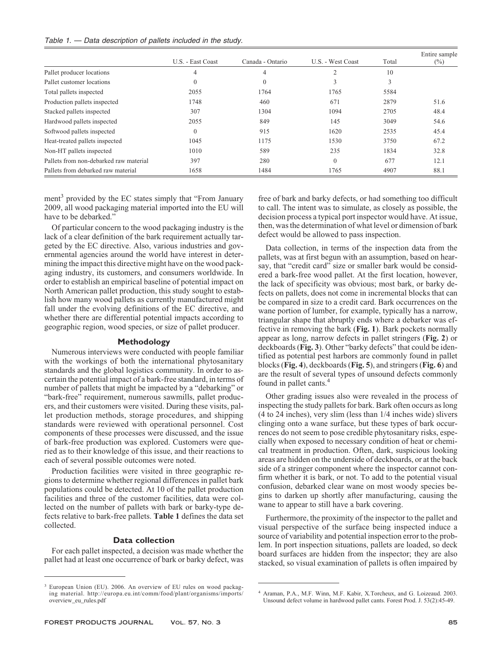| Table 1. - Data description of pallets included in the study. |  |  |  |  |  |  |  |  |  |  |
|---------------------------------------------------------------|--|--|--|--|--|--|--|--|--|--|
|---------------------------------------------------------------|--|--|--|--|--|--|--|--|--|--|

|                                        | U.S. - East Coast | Canada - Ontario | U.S. - West Coast | Total | Entire sample<br>$(\%)$ |
|----------------------------------------|-------------------|------------------|-------------------|-------|-------------------------|
| Pallet producer locations              | 4                 | 4                | $\overline{2}$    | 10    |                         |
| Pallet customer locations              | $\theta$          | $\theta$         | 3                 | 3     |                         |
| Total pallets inspected                | 2055              | 1764             | 1765              | 5584  |                         |
| Production pallets inspected           | 1748              | 460              | 671               | 2879  | 51.6                    |
| Stacked pallets inspected              | 307               | 1304             | 1094              | 2705  | 48.4                    |
| Hardwood pallets inspected             | 2055              | 849              | 145               | 3049  | 54.6                    |
| Softwood pallets inspected             | $\Omega$          | 915              | 1620              | 2535  | 45.4                    |
| Heat-treated pallets inspected         | 1045              | 1175             | 1530              | 3750  | 67.2                    |
| Non-HT pallets inspected               | 1010              | 589              | 235               | 1834  | 32.8                    |
| Pallets from non-debarked raw material | 397               | 280              | $\theta$          | 677   | 12.1                    |
| Pallets from debarked raw material     | 1658              | 1484             | 1765              | 4907  | 88.1                    |

ment<sup>3</sup> provided by the EC states simply that "From January" 2009, all wood packaging material imported into the EU will have to be debarked."

Of particular concern to the wood packaging industry is the lack of a clear definition of the bark requirement actually targeted by the EC directive. Also, various industries and governmental agencies around the world have interest in determining the impact this directive might have on the wood packaging industry, its customers, and consumers worldwide. In order to establish an empirical baseline of potential impact on North American pallet production, this study sought to establish how many wood pallets as currently manufactured might fall under the evolving definitions of the EC directive, and whether there are differential potential impacts according to geographic region, wood species, or size of pallet producer.

### **Methodology**

Numerous interviews were conducted with people familiar with the workings of both the international phytosanitary standards and the global logistics community. In order to ascertain the potential impact of a bark-free standard, in terms of number of pallets that might be impacted by a "debarking" or "bark-free" requirement, numerous sawmills, pallet producers, and their customers were visited. During these visits, pallet production methods, storage procedures, and shipping standards were reviewed with operational personnel. Cost components of these processes were discussed, and the issue of bark-free production was explored. Customers were queried as to their knowledge of this issue, and their reactions to each of several possible outcomes were noted.

Production facilities were visited in three geographic regions to determine whether regional differences in pallet bark populations could be detected. At 10 of the pallet production facilities and three of the customer facilities, data were collected on the number of pallets with bark or barky-type defects relative to bark-free pallets. **Table 1** defines the data set collected.

#### **Data collection**

For each pallet inspected, a decision was made whether the pallet had at least one occurrence of bark or barky defect, was

free of bark and barky defects, or had something too difficult to call. The intent was to simulate, as closely as possible, the decision process a typical port inspector would have. At issue, then, was the determination of what level or dimension of bark defect would be allowed to pass inspection.

Data collection, in terms of the inspection data from the pallets, was at first begun with an assumption, based on hearsay, that "credit card" size or smaller bark would be considered a bark-free wood pallet. At the first location, however, the lack of specificity was obvious; most bark, or barky defects on pallets, does not come in incremental blocks that can be compared in size to a credit card. Bark occurrences on the wane portion of lumber, for example, typically has a narrow, triangular shape that abruptly ends where a debarker was effective in removing the bark (**Fig. 1**). Bark pockets normally appear as long, narrow defects in pallet stringers (**Fig. 2**) or deckboards (**Fig. 3**). Other "barky defects" that could be identified as potential pest harbors are commonly found in pallet blocks (**Fig. 4**), deckboards (**Fig. 5**), and stringers (**Fig. 6**) and are the result of several types of unsound defects commonly found in pallet cants.<sup>4</sup>

Other grading issues also were revealed in the process of inspecting the study pallets for bark. Bark often occurs as long (4 to 24 inches), very slim (less than 1/4 inches wide) slivers clinging onto a wane surface, but these types of bark occurrences do not seem to pose credible phytosanitary risks, especially when exposed to necessary condition of heat or chemical treatment in production. Often, dark, suspicious looking areas are hidden on the underside of deckboards, or at the back side of a stringer component where the inspector cannot confirm whether it is bark, or not. To add to the potential visual confusion, debarked clear wane on most woody species begins to darken up shortly after manufacturing, causing the wane to appear to still have a bark covering.

Furthermore, the proximity of the inspector to the pallet and visual perspective of the surface being inspected induce a source of variability and potential inspection error to the problem. In port inspection situations, pallets are loaded, so deck board surfaces are hidden from the inspector; they are also stacked, so visual examination of pallets is often impaired by

<sup>&</sup>lt;sup>3</sup> European Union (EU). 2006. An overview of EU rules on wood packaging material. http://europa.eu.int/comm/food/plant/organisms/imports/ overview\_eu\_rules.pdf

<sup>4</sup> Araman, P.A., M.F. Winn, M.F. Kabir, X.Torcheux, and G. Loizeaud. 2003. Unsound defect volume in hardwood pallet cants. Forest Prod. J. 53(2):45-49.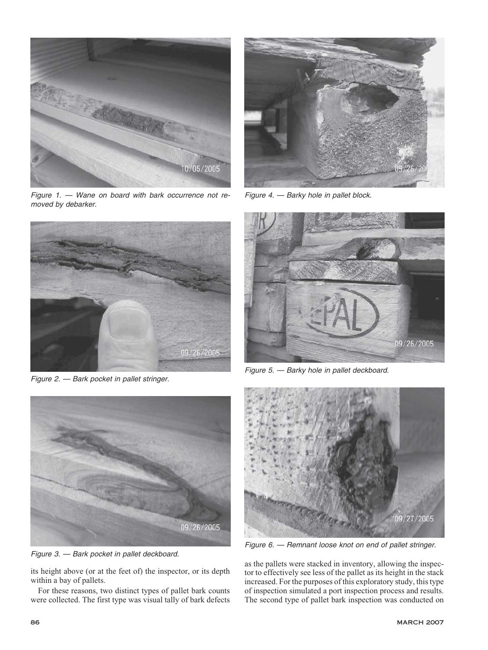

*Figure 1. — Wane on board with bark occurrence not removed by debarker.*



*Figure 2. — Bark pocket in pallet stringer.*



*Figure 3. — Bark pocket in pallet deckboard.*

its height above (or at the feet of) the inspector, or its depth within a bay of pallets.

For these reasons, two distinct types of pallet bark counts were collected. The first type was visual tally of bark defects



*Figure 4. — Barky hole in pallet block.*



*Figure 5. — Barky hole in pallet deckboard.*



*Figure 6. — Remnant loose knot on end of pallet stringer.*

as the pallets were stacked in inventory, allowing the inspector to effectively see less of the pallet as its height in the stack increased. For the purposes of this exploratory study, this type of inspection simulated a port inspection process and results. The second type of pallet bark inspection was conducted on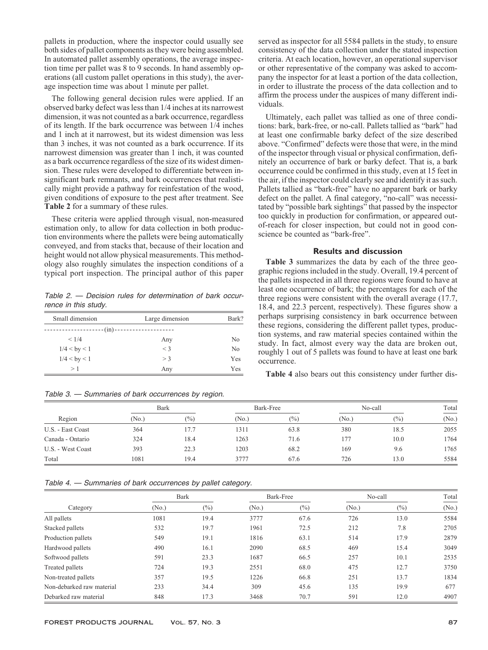pallets in production, where the inspector could usually see both sides of pallet components as they were being assembled. In automated pallet assembly operations, the average inspection time per pallet was 8 to 9 seconds. In hand assembly operations (all custom pallet operations in this study), the average inspection time was about 1 minute per pallet.

The following general decision rules were applied. If an observed barky defect was less than 1/4 inches at its narrowest dimension, it was not counted as a bark occurrence, regardless of its length. If the bark occurrence was between 1/4 inches and 1 inch at it narrowest, but its widest dimension was less than 3 inches, it was not counted as a bark occurrence. If its narrowest dimension was greater than 1 inch, it was counted as a bark occurrence regardless of the size of its widest dimension. These rules were developed to differentiate between insignificant bark remnants, and bark occurrences that realistically might provide a pathway for reinfestation of the wood, given conditions of exposure to the pest after treatment. See **Table 2** for a summary of these rules.

These criteria were applied through visual, non-measured estimation only, to allow for data collection in both production environments where the pallets were being automatically conveyed, and from stacks that, because of their location and height would not allow physical measurements. This methodology also roughly simulates the inspection conditions of a typical port inspection. The principal author of this paper

*Table 2. — Decision rules for determination of bark occurrence in this study.*

| Small dimension  | Large dimension          | Bark? |  |
|------------------|--------------------------|-------|--|
|                  | $--(in)$ --------------- |       |  |
| < 1/4            | Any                      | No    |  |
| $1/4 <$ by $< 1$ | $\leq$ 3                 | No    |  |
| $1/4 <$ by $< 1$ | $>$ 3                    | Yes   |  |
| >1               | Any                      | Yes   |  |

*Table 3. — Summaries of bark occurrences by region.*

served as inspector for all 5584 pallets in the study, to ensure consistency of the data collection under the stated inspection criteria. At each location, however, an operational supervisor or other representative of the company was asked to accompany the inspector for at least a portion of the data collection, in order to illustrate the process of the data collection and to affirm the process under the auspices of many different individuals.

Ultimately, each pallet was tallied as one of three conditions: bark, bark-free, or no-call. Pallets tallied as "bark" had at least one confirmable barky defect of the size described above. "Confirmed" defects were those that were, in the mind of the inspector through visual or physical confirmation, definitely an occurrence of bark or barky defect. That is, a bark occurrence could be confirmed in this study, even at 15 feet in the air, if the inspector could clearly see and identify it as such. Pallets tallied as "bark-free" have no apparent bark or barky defect on the pallet. A final category, "no-call" was necessitated by "possible bark sightings" that passed by the inspector too quickly in production for confirmation, or appeared outof-reach for closer inspection, but could not in good conscience be counted as "bark-free".

## **Results and discussion**

**Table 3** summarizes the data by each of the three geographic regions included in the study. Overall, 19.4 percent of the pallets inspected in all three regions were found to have at least one occurrence of bark; the percentages for each of the three regions were consistent with the overall average (17.7, 18.4, and 22.3 percent, respectively). These figures show a perhaps surprising consistency in bark occurrence between these regions, considering the different pallet types, production systems, and raw material species contained within the study. In fact, almost every way the data are broken out, roughly 1 out of 5 pallets was found to have at least one bark occurrence.

**Table 4** also bears out this consistency under further dis-

|                   | <b>Bark</b> |       | Bark-Free |       | No-call |        | Total             |  |
|-------------------|-------------|-------|-----------|-------|---------|--------|-------------------|--|
| Region            | (No.)       | (0/0) | (No.)     | (0/0) | (No.)   | $(\%)$ | (N <sub>0</sub> ) |  |
| U.S. - East Coast | 364         | 17.7  | 1311      | 63.8  | 380     | 18.5   | 2055              |  |
| Canada - Ontario  | 324         | 18.4  | 1263      | 71.6  | 177     | 10.0   | 1764              |  |
| U.S. - West Coast | 393         | 22.3  | 1203      | 68.2  | 169     | 9.6    | 1765              |  |
| Total             | 1081        | 19.4  | 3777      | 67.6  | 726     | 13.0   | 5584              |  |

*Table 4. — Summaries of bark occurrences by pallet category.*

|                           | Bark              |        | Bark-Free |        | No-call |        | Total             |  |
|---------------------------|-------------------|--------|-----------|--------|---------|--------|-------------------|--|
| Category                  | (N <sub>0</sub> ) | $(\%)$ | (No.)     | $(\%)$ | (No.)   | $(\%)$ | (N <sub>0</sub> ) |  |
| All pallets               | 1081              | 19.4   | 3777      | 67.6   | 726     | 13.0   | 5584              |  |
| Stacked pallets           | 532               | 19.7   | 1961      | 72.5   | 212     | 7.8    | 2705              |  |
| Production pallets        | 549               | 19.1   | 1816      | 63.1   | 514     | 17.9   | 2879              |  |
| Hardwood pallets          | 490               | 16.1   | 2090      | 68.5   | 469     | 15.4   | 3049              |  |
| Softwood pallets          | 591               | 23.3   | 1687      | 66.5   | 257     | 10.1   | 2535              |  |
| Treated pallets           | 724               | 19.3   | 2551      | 68.0   | 475     | 12.7   | 3750              |  |
| Non-treated pallets       | 357               | 19.5   | 1226      | 66.8   | 251     | 13.7   | 1834              |  |
| Non-debarked raw material | 233               | 34.4   | 309       | 45.6   | 135     | 19.9   | 677               |  |
| Debarked raw material     | 848               | 17.3   | 3468      | 70.7   | 591     | 12.0   | 4907              |  |